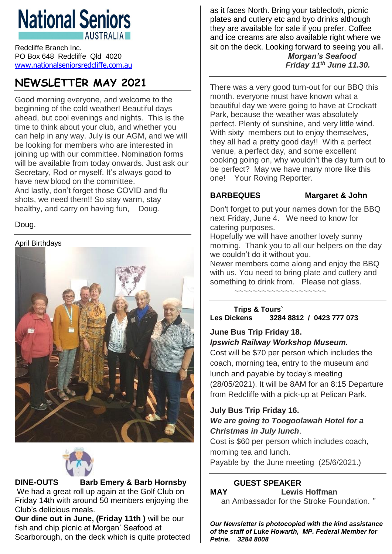# **National Seniors AUSTRALIA**

Redcliffe Branch Inc. PO Box 648 Redcliffe Qld 4020 [www.nationalseniorsredcliffe.com.au](http://www.nationalseniorsredcliffe.com.au/)

## **NEWSLETTER MAY 2021**

Good morning everyone, and welcome to the beginning of the cold weather! Beautiful days ahead, but cool evenings and nights. This is the time to think about your club, and whether you can help in any way. July is our AGM, and we will be looking for members who are interested in joining up with our committee. Nomination forms will be available from today onwards. Just ask our Secretary, Rod or myself. It's always good to have new blood on the committee. And lastly, don't forget those COVID and flu shots, we need them!! So stay warm, stay healthy, and carry on having fun, Doug.

#### Doug.

April Birthdays





#### **DINE-OUTS Barb Emery & Barb Hornsby**

We had a great roll up again at the Golf Club on Friday 14th with around 50 members enjoying the Club's delicious meals.

**Our dine out in June, (Friday 11th )** will be our fish and chip picnic at Morgan' Seafood at Scarborough, on the deck which is quite protected as it faces North. Bring your tablecloth, picnic plates and cutlery etc and byo drinks although they are available for sale if you prefer. Coffee and ice creams are also available right where we sit on the deck. Looking forward to seeing you all. *Morgan's Seafood Friday 11th June 11.30.*

There was a very good turn-out for our BBQ this month. everyone must have known what a beautiful day we were going to have at Crockatt Park, because the weather was absolutely perfect. Plenty of sunshine, and very little wind. With sixty members out to enjoy themselves, they all had a pretty good day!! With a perfect venue, a perfect day, and some excellent cooking going on, why wouldn't the day turn out to be perfect? May we have many more like this one! Your Roving Reporter.

#### **BARBEQUES Margaret & John**

Don't forget to put your names down for the BBQ next Friday, June 4. We need to know for catering purposes.

Hopefully we will have another lovely sunny morning. Thank you to all our helpers on the day we couldn't do it without you.

Newer members come along and enjoy the BBQ with us. You need to bring plate and cutlery and something to drink from. Please not glass.

~~~~~~~~~~~~~~~~~~~~

#### **Trips & Tours` Les Dickens 3284 8812 / 0423 777 073**

#### **June Bus Trip Friday 18.** *Ipswich Railway Workshop Museum.*

Cost will be \$70 per person which includes the coach, morning tea, entry to the museum and lunch and payable by today's meeting (28/05/2021). It will be 8AM for an 8:15 Departure from Redcliffe with a pick-up at Pelican Park.

#### **July Bus Trip Friday 16.** *We are going to Toogoolawah Hotel for a Christmas in July lunch*.

Cost is \$60 per person which includes coach, morning tea and lunch.

Payable by the June meeting (25/6/2021.)

#### **GUEST SPEAKER**

**MAY Lewis Hoffman** an Ambassador for the Stroke Foundation. *"*

*Our Newsletter is photocopied with the kind assistance of the staff of Luke Howarth, MP. Federal Member for Petrie. 3284 8008*